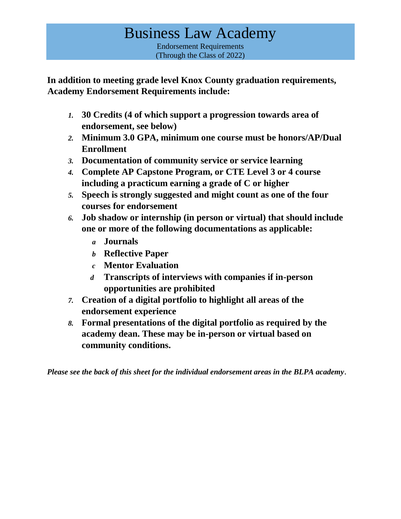# Business Law Academy Endorsement Requirements (Through the Class of 2022)

**In addition to meeting grade level Knox County graduation requirements, Academy Endorsement Requirements include:** 

- *1.* **30 Credits (4 of which support a progression towards area of endorsement, see below)**
- *2.* **Minimum 3.0 GPA, minimum one course must be honors/AP/Dual Enrollment**
- *3.* **Documentation of community service or service learning**
- *4.* **Complete AP Capstone Program, or CTE Level 3 or 4 course including a practicum earning a grade of C or higher**
- *5.* **Speech is strongly suggested and might count as one of the four courses for endorsement**
- *6.* **Job shadow or internship (in person or virtual) that should include one or more of the following documentations as applicable:**
	- *a* **Journals**
	- *b* **Reflective Paper**
	- *c* **Mentor Evaluation**
	- *d* **Transcripts of interviews with companies if in-person opportunities are prohibited**
- *7.* **Creation of a digital portfolio to highlight all areas of the endorsement experience**
- *8.* **Formal presentations of the digital portfolio as required by the academy dean. These may be in-person or virtual based on community conditions.**

*Please see the back of this sheet for the individual endorsement areas in the BLPA academy*.